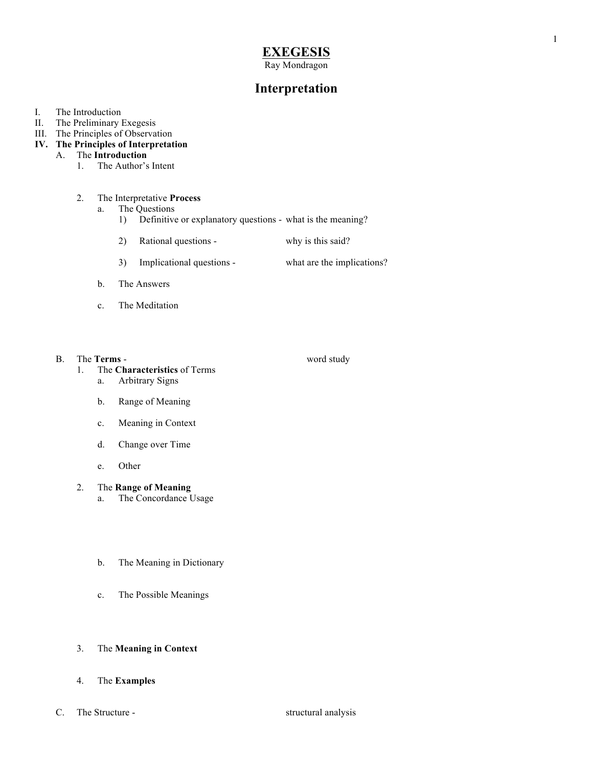# **EXEGESIS**

Ray Mondragon

## **Interpretation**

- I. The Introduction
- II. The Preliminary Exegesis
- III. The Principles of Observation
- **IV. The Principles of Interpretation**

### A. The **Introduction**

1. The Author's Intent

#### 2. The Interpretative **Process**

- a. The Questions
	- 1) Definitive or explanatory questions what is the meaning?
	- 2) Rational questions why is this said?
	- 3) Implicational questions what are the implications?
- b. The Answers
- c. The Meditation
- B. The **Terms** word study

- 1. The **Characteristics** of Terms
	- a. Arbitrary Signs
	- b. Range of Meaning
	- c. Meaning in Context
	- d. Change over Time
	- e. Other
- 2. The **Range of Meaning**
	- a. The Concordance Usage
	- b. The Meaning in Dictionary
	- c. The Possible Meanings
- 3. The **Meaning in Context**
- 4. The **Examples**
- C. The Structure structural analysis